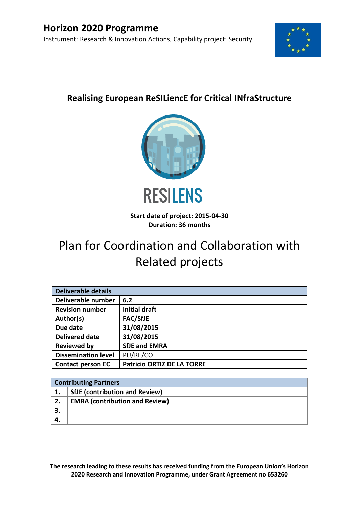

# **Realising European ReSILiencE for Critical INfraStructure**



**Start date of project: 2015-04-30 Duration: 36 months**

# Plan for Coordination and Collaboration with Related projects

| <b>Deliverable details</b> |                                   |  |
|----------------------------|-----------------------------------|--|
| Deliverable number         | 6.2                               |  |
| <b>Revision number</b>     | <b>Initial draft</b>              |  |
| Author(s)                  | <b>FAC/SfJE</b>                   |  |
| Due date                   | 31/08/2015                        |  |
| <b>Delivered date</b>      | 31/08/2015                        |  |
| <b>Reviewed by</b>         | <b>SfJE and EMRA</b>              |  |
| <b>Dissemination level</b> | PU/RE/CO                          |  |
| <b>Contact person EC</b>   | <b>Patricio ORTIZ DE LA TORRE</b> |  |

| <b>Contributing Partners</b> |                                       |  |
|------------------------------|---------------------------------------|--|
|                              | <b>SfJE</b> (contribution and Review) |  |
| 2.                           | <b>EMRA (contribution and Review)</b> |  |
| 3.                           |                                       |  |
|                              |                                       |  |

**The research leading to these results has received funding from the European Union's Horizon 2020 Research and Innovation Programme, under Grant Agreement no 653260**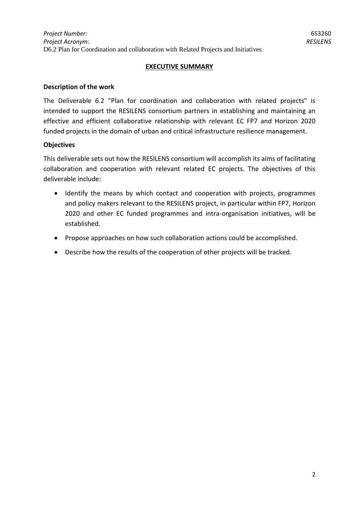#### **EXECUTIVE SUMMARY**

#### **Description of the work**

The Deliverable 6.2 "Plan for coordination and collaboration with related projects" is intended to support the RESILENS consortium partners in establishing and maintaining an effective and efficient collaborative relationship with relevant EC FP7 and Horizon 2020 funded projects in the domain of urban and critical infrastructure resilience management.

#### **Objectives**

This deliverable sets out how the RESILENS consortium will accomplish its aims of facilitating collaboration and cooperation with relevant related EC projects. The objectives of this deliverable include:

- Identify the means by which contact and cooperation with projects, programmes and policy makers relevant to the RESILENS project, in particular within FP7, Horizon 2020 and other EC funded programmes and intra-organisation initiatives, will be established.
- Propose approaches on how such collaboration actions could be accomplished.
- Describe how the results of the cooperation of other projects will be tracked.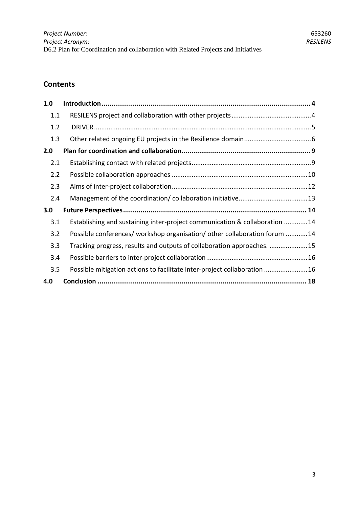# **Contents**

| 1.0 |                                                                            |
|-----|----------------------------------------------------------------------------|
| 1.1 |                                                                            |
| 1.2 |                                                                            |
| 1.3 |                                                                            |
| 2.0 |                                                                            |
| 2.1 |                                                                            |
| 2.2 |                                                                            |
| 2.3 |                                                                            |
| 2.4 |                                                                            |
| 3.0 |                                                                            |
| 3.1 | Establishing and sustaining inter-project communication & collaboration 14 |
| 3.2 | Possible conferences/ workshop organisation/ other collaboration forum 14  |
| 3.3 | Tracking progress, results and outputs of collaboration approaches. 15     |
| 3.4 |                                                                            |
| 3.5 | Possible mitigation actions to facilitate inter-project collaboration 16   |
| 4.0 |                                                                            |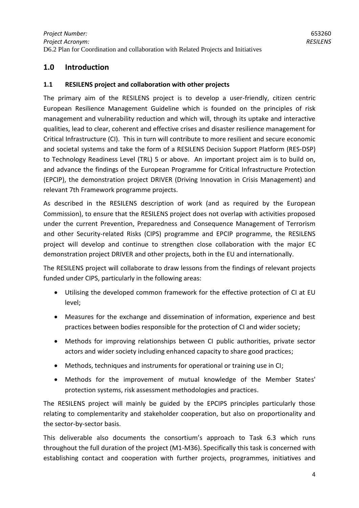# <span id="page-3-0"></span>**1.0 Introduction**

#### <span id="page-3-1"></span>**1.1 RESILENS project and collaboration with other projects**

The primary aim of the RESILENS project is to develop a user-friendly, citizen centric European Resilience Management Guideline which is founded on the principles of risk management and vulnerability reduction and which will, through its uptake and interactive qualities, lead to clear, coherent and effective crises and disaster resilience management for Critical Infrastructure (CI). This in turn will contribute to more resilient and secure economic and societal systems and take the form of a RESILENS Decision Support Platform (RES-DSP) to Technology Readiness Level (TRL) 5 or above. An important project aim is to build on, and advance the findings of the European Programme for Critical Infrastructure Protection (EPCIP), the demonstration project DRIVER (Driving Innovation in Crisis Management) and relevant 7th Framework programme projects.

As described in the RESILENS description of work (and as required by the European Commission), to ensure that the RESILENS project does not overlap with activities proposed under the current Prevention, Preparedness and Consequence Management of Terrorism and other Security-related Risks (CIPS) programme and EPCIP programme, the RESILENS project will develop and continue to strengthen close collaboration with the major EC demonstration project DRIVER and other projects, both in the EU and internationally.

The RESILENS project will collaborate to draw lessons from the findings of relevant projects funded under CIPS, particularly in the following areas:

- Utilising the developed common framework for the effective protection of CI at EU level;
- Measures for the exchange and dissemination of information, experience and best practices between bodies responsible for the protection of CI and wider society;
- Methods for improving relationships between CI public authorities, private sector actors and wider society including enhanced capacity to share good practices;
- Methods, techniques and instruments for operational or training use in CI;
- Methods for the improvement of mutual knowledge of the Member States' protection systems, risk assessment methodologies and practices.

The RESILENS project will mainly be guided by the EPCIPS principles particularly those relating to complementarity and stakeholder cooperation, but also on proportionality and the sector-by-sector basis.

This deliverable also documents the consortium's approach to Task 6.3 which runs throughout the full duration of the project (M1-M36). Specifically this task is concerned with establishing contact and cooperation with further projects, programmes, initiatives and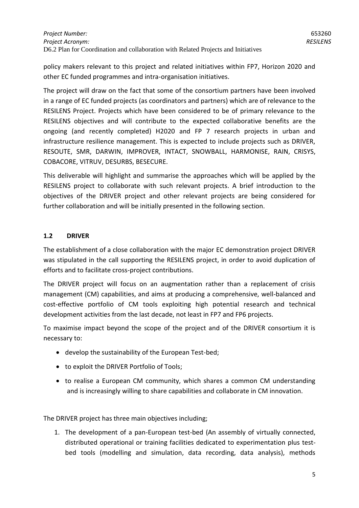policy makers relevant to this project and related initiatives within FP7, Horizon 2020 and other EC funded programmes and intra-organisation initiatives.

The project will draw on the fact that some of the consortium partners have been involved in a range of EC funded projects (as coordinators and partners) which are of relevance to the RESILENS Project. Projects which have been considered to be of primary relevance to the RESILENS objectives and will contribute to the expected collaborative benefits are the ongoing (and recently completed) H2020 and FP 7 research projects in urban and infrastructure resilience management. This is expected to include projects such as DRIVER, RESOUTE, SMR, DARWIN, IMPROVER, INTACT, SNOWBALL, HARMONISE, RAIN, CRISYS, COBACORE, VITRUV, DESURBS, BESECURE.

This deliverable will highlight and summarise the approaches which will be applied by the RESILENS project to collaborate with such relevant projects. A brief introduction to the objectives of the DRIVER project and other relevant projects are being considered for further collaboration and will be initially presented in the following section.

#### <span id="page-4-0"></span>**1.2 DRIVER**

The establishment of a close collaboration with the major EC demonstration project DRIVER was stipulated in the call supporting the RESILENS project, in order to avoid duplication of efforts and to facilitate cross-project contributions.

The DRIVER project will focus on an augmentation rather than a replacement of crisis management (CM) capabilities, and aims at producing a comprehensive, well-balanced and cost-effective portfolio of CM tools exploiting high potential research and technical development activities from the last decade, not least in FP7 and FP6 projects.

To maximise impact beyond the scope of the project and of the DRIVER consortium it is necessary to:

- develop the sustainability of the European Test-bed;
- to exploit the DRIVER Portfolio of Tools;
- to realise a European CM community, which shares a common CM understanding and is increasingly willing to share capabilities and collaborate in CM innovation.

The DRIVER project has three main objectives including;

1. The development of a pan-European test-bed (An assembly of virtually connected, distributed operational or training facilities dedicated to experimentation plus testbed tools (modelling and simulation, data recording, data analysis), methods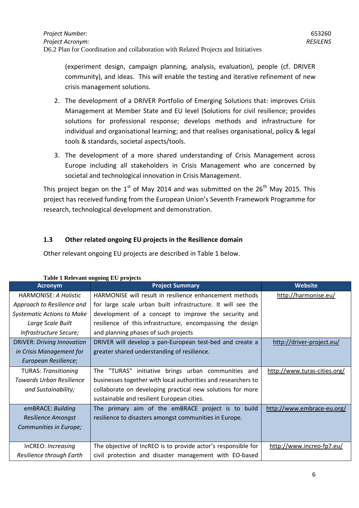(experiment design, campaign planning, analysis, evaluation), people (cf. DRIVER community), and ideas. This will enable the testing and iterative refinement of new crisis management solutions.

- 2. The development of a DRIVER Portfolio of Emerging Solutions that: improves Crisis Management at Member State and EU level (Solutions for civil resilience; provides solutions for professional response; develops methods and infrastructure for individual and organisational learning; and that realises organisational, policy & legal tools & standards, societal aspects/tools.
- 3. The development of a more shared understanding of Crisis Management across Europe including all stakeholders in Crisis Management who are concerned by societal and technological innovation in Crisis Management.

This project began on the  $1<sup>st</sup>$  of May 2014 and was submitted on the  $26<sup>th</sup>$  May 2015. This project has received funding from the European Union's Seventh Framework Programme for research, technological development and demonstration.

#### <span id="page-5-0"></span>**1.3 Other related ongoing EU projects in the Resilience domain**

Other relevant ongoing EU projects are described in Table 1 below.

| Table I Relevant ongoing EU projects |                                                               |                              |
|--------------------------------------|---------------------------------------------------------------|------------------------------|
| <b>Acronym</b>                       | <b>Project Summary</b>                                        | <b>Website</b>               |
| HARMONISE: A Holistic                | HARMONISE will result in resilience enhancement methods       | http://harmonise.eu/         |
| Approach to Resilience and           | for large scale urban built infrastructure. It will see the   |                              |
| <b>Systematic Actions to Make</b>    | development of a concept to improve the security and          |                              |
| Large Scale Built                    | resilience of this infrastructure, encompassing the design    |                              |
| Infrastructure Secure;               | and planning phases of such projects                          |                              |
| <b>DRIVER: Driving Innovation</b>    | DRIVER will develop a pan-European test-bed and create a      | http://driver-project.eu/    |
| in Crisis Management for             | greater shared understanding of resilience.                   |                              |
| European Resilience;                 |                                                               |                              |
| <b>TURAS: Transitioning</b>          | The "TURAS"<br>initiative brings urban communities and        | http://www.turas-cities.org/ |
| <b>Towards Urban Resilience</b>      | businesses together with local authorities and researchers to |                              |
| and Sustainability;                  | collaborate on developing practical new solutions for more    |                              |
|                                      | sustainable and resilient European cities.                    |                              |
| emBRACE: Building                    | The primary aim of the emBRACE project is to build            | http://www.embrace-eu.org/   |
| <b>Resilience Amongst</b>            | resilience to disasters amongst communities in Europe.        |                              |
| Communities in Europe;               |                                                               |                              |
|                                      |                                                               |                              |
| InCREO: Increasing                   | The objective of IncREO is to provide actor's responsible for | http://www.increo-fp7.eu/    |
| Resilience through Earth             | civil protection and disaster management with EO-based        |                              |

**Table 1 Relevant ongoing EU projects**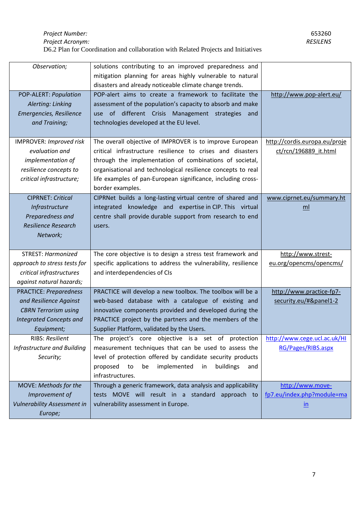| Observation;                       | solutions contributing to an improved preparedness and         |                               |
|------------------------------------|----------------------------------------------------------------|-------------------------------|
|                                    | mitigation planning for areas highly vulnerable to natural     |                               |
|                                    | disasters and already noticeable climate change trends.        |                               |
| POP-ALERT: Population              | POP-alert aims to create a framework to facilitate the         | http://www.pop-alert.eu/      |
| Alerting: Linking                  | assessment of the population's capacity to absorb and make     |                               |
| Emergencies, Resilience            | use of different Crisis Management strategies<br>and           |                               |
| and Training;                      | technologies developed at the EU level.                        |                               |
|                                    |                                                                |                               |
| <b>IMPROVER: Improved risk</b>     | The overall objective of IMPROVER is to improve European       | http://cordis.europa.eu/proje |
| evaluation and                     | critical infrastructure resilience to crises and disasters     | ct/rcn/196889 it.html         |
| implementation of                  | through the implementation of combinations of societal,        |                               |
| resilience concepts to             | organisational and technological resilience concepts to real   |                               |
| critical infrastructure;           | life examples of pan-European significance, including cross-   |                               |
|                                    | border examples.                                               |                               |
| <b>CIPRNET: Critical</b>           | CIPRNet builds a long-lasting virtual centre of shared and     | www.ciprnet.eu/summary.ht     |
| Infrastructure                     | integrated knowledge and expertise in CIP. This virtual        | ml                            |
| Preparedness and                   | centre shall provide durable support from research to end      |                               |
| <b>Resilience Research</b>         | users.                                                         |                               |
| Network;                           |                                                                |                               |
|                                    |                                                                |                               |
| <b>STREST: Harmonized</b>          | The core objective is to design a stress test framework and    | http://www.strest-            |
| approach to stress tests for       | specific applications to address the vulnerability, resilience | eu.org/opencms/opencms/       |
| critical infrastructures           | and interdependencies of CIs                                   |                               |
| against natural hazards;           |                                                                |                               |
| <b>PRACTICE: Preparedness</b>      | PRACTICE will develop a new toolbox. The toolbox will be a     | http://www.practice-fp7-      |
| and Resilience Against             | web-based database with a catalogue of existing and            | security.eu/#&panel1-2        |
| <b>CBRN Terrorism using</b>        | innovative components provided and developed during the        |                               |
| <b>Integrated Concepts and</b>     | PRACTICE project by the partners and the members of the        |                               |
| Equipment;                         | Supplier Platform, validated by the Users.                     |                               |
| RIBS: Resilient                    | The project's core objective is a set of protection            | http://www.cege.ucl.ac.uk/HI  |
| Infrastructure and Building        | measurement techniques that can be used to assess the          | RG/Pages/RIBS.aspx            |
| Security;                          | level of protection offered by candidate security products     |                               |
|                                    | proposed to<br>be<br>implemented in<br>buildings<br>and        |                               |
|                                    | infrastructures.                                               |                               |
| MOVE: Methods for the              | Through a generic framework, data analysis and applicability   | http://www.move-              |
| Improvement of                     | tests MOVE will result in a standard approach to               | fp7.eu/index.php?module=ma    |
| <b>Vulnerability Assessment in</b> | vulnerability assessment in Europe.                            | $\underline{\text{in}}$       |
| Europe;                            |                                                                |                               |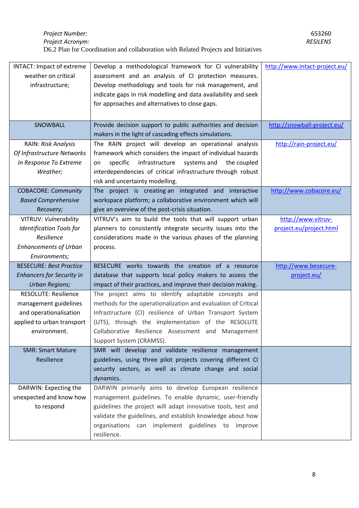| INTACT: Impact of extreme        | Develop a methodological framework for CI vulnerability        | http://www.intact-project.eu/ |
|----------------------------------|----------------------------------------------------------------|-------------------------------|
| weather on critical              | assessment and an analysis of CI protection measures.          |                               |
| infrastructure;                  | Develop methodology and tools for risk management, and         |                               |
|                                  | indicate gaps in risk modelling and data availability and seek |                               |
|                                  | for approaches and alternatives to close gaps.                 |                               |
|                                  |                                                                |                               |
|                                  |                                                                |                               |
| SNOWBALL                         | Provide decision support to public authorities and decision    | http://snowball-project.eu/   |
|                                  | makers in the light of cascading effects simulations.          |                               |
| RAIN: Risk Analysis              | The RAIN project will develop an operational analysis          | http://rain-project.eu/       |
| Of Infrastructure Networks       | framework which considers the impact of individual hazards     |                               |
| In Response To Extreme           | infrastructure<br>systems and<br>specific<br>the coupled<br>on |                               |
| Weather;                         | interdependencies of critical infrastructure through robust    |                               |
|                                  | risk and uncertainty modelling.                                |                               |
| <b>COBACORE: Community</b>       | The project is creating an integrated and interactive          | http://www.cobacore.eu/       |
| <b>Based Comprehensive</b>       | workspace platform; a collaborative environment which will     |                               |
| Recovery;                        | give an overview of the post-crisis situation.                 |                               |
| VITRUV: Vulnerability            | VITRUV's aim to build the tools that will support urban        | http://www.vitruv-            |
| <b>Identification Tools for</b>  | planners to consistently integrate security issues into the    | project.eu/project.html       |
| Resilience                       | considerations made in the various phases of the planning      |                               |
| <b>Enhancements of Urban</b>     | process.                                                       |                               |
| Environments;                    |                                                                |                               |
| <b>BESECURE: Best Practice</b>   | BESECURE works towards the creation of a resource              | http://www.besecure-          |
| <b>Enhancers for Security in</b> | database that supports local policy makers to assess the       | project.eu/                   |
| <b>Urban Regions;</b>            | impact of their practices, and improve their decision making.  |                               |
| <b>RESOLUTE: Resilience</b>      | The project aims to identify adaptable concepts and            |                               |
| management guidelines            | methods for the operationalization and evaluation of Critical  |                               |
| and operationalisation           | Infrastructure (CI) resilience of Urban Transport System       |                               |
| applied to urban transport       | (UTS), through the implementation of the RESOLUTE              |                               |
| environment.                     | Collaborative Resilience Assessment and Management             |                               |
|                                  | Support System (CRAMSS).                                       |                               |
| <b>SMR: Smart Mature</b>         | SMR will develop and validate resilience management            |                               |
| Resilience                       | guidelines, using three pilot projects covering different CI   |                               |
|                                  | security sectors, as well as climate change and social         |                               |
|                                  | dynamics.                                                      |                               |
| DARWIN: Expecting the            | DARWIN primarily aims to develop European resilience           |                               |
| unexpected and know how          | management guidelines. To enable dynamic, user-friendly        |                               |
| to respond                       | guidelines the project will adapt innovative tools, test and   |                               |
|                                  | validate the guidelines, and establish knowledge about how     |                               |
|                                  | organisations can implement guidelines to improve              |                               |
|                                  | resilience.                                                    |                               |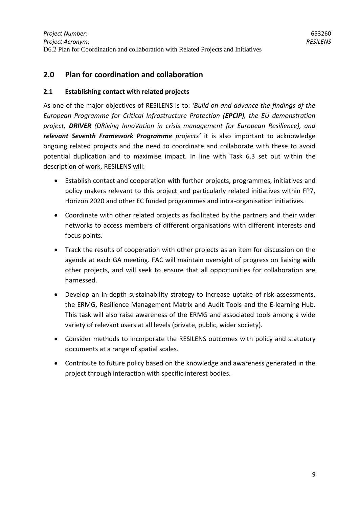# <span id="page-8-0"></span>**2.0 Plan for coordination and collaboration**

#### <span id="page-8-1"></span>**2.1 Establishing contact with related projects**

As one of the major objectives of RESILENS is to: *'Build on and advance the findings of the European Programme for Critical Infrastructure Protection (EPCIP), the EU demonstration project, DRIVER (DRiving InnoVation in crisis management for European Resilience), and relevant Seventh Framework Programme projects'* it is also important to acknowledge ongoing related projects and the need to coordinate and collaborate with these to avoid potential duplication and to maximise impact. In line with Task 6.3 set out within the description of work, RESILENS will:

- Establish contact and cooperation with further projects, programmes, initiatives and policy makers relevant to this project and particularly related initiatives within FP7, Horizon 2020 and other EC funded programmes and intra-organisation initiatives.
- Coordinate with other related projects as facilitated by the partners and their wider networks to access members of different organisations with different interests and focus points.
- Track the results of cooperation with other projects as an item for discussion on the agenda at each GA meeting. FAC will maintain oversight of progress on liaising with other projects, and will seek to ensure that all opportunities for collaboration are harnessed.
- Develop an in-depth sustainability strategy to increase uptake of risk assessments, the ERMG, Resilience Management Matrix and Audit Tools and the E-learning Hub. This task will also raise awareness of the ERMG and associated tools among a wide variety of relevant users at all levels (private, public, wider society).
- Consider methods to incorporate the RESILENS outcomes with policy and statutory documents at a range of spatial scales.
- Contribute to future policy based on the knowledge and awareness generated in the project through interaction with specific interest bodies.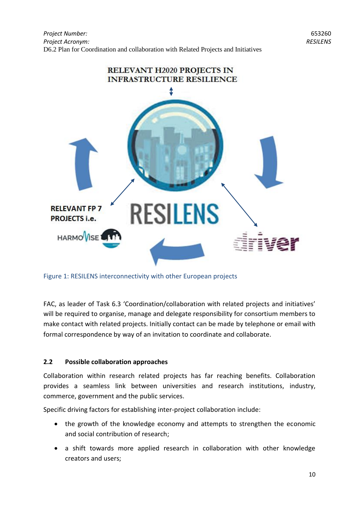

Figure 1: RESILENS interconnectivity with other European projects

FAC, as leader of Task 6.3 'Coordination/collaboration with related projects and initiatives' will be required to organise, manage and delegate responsibility for consortium members to make contact with related projects. Initially contact can be made by telephone or email with formal correspondence by way of an invitation to coordinate and collaborate.

#### <span id="page-9-0"></span>**2.2 Possible collaboration approaches**

Collaboration within research related projects has far reaching benefits. Collaboration provides a seamless link between universities and research institutions, industry, commerce, government and the public services.

Specific driving factors for establishing inter-project collaboration include:

- the growth of the knowledge economy and attempts to strengthen the economic and social contribution of research;
- a shift towards more applied research in collaboration with other knowledge creators and users;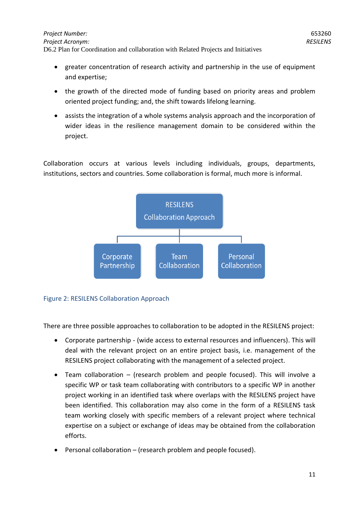- greater concentration of research activity and partnership in the use of equipment and expertise;
- the growth of the directed mode of funding based on priority areas and problem oriented project funding; and, the shift towards lifelong learning.
- assists the integration of a whole systems analysis approach and the incorporation of wider ideas in the resilience management domain to be considered within the project.

Collaboration occurs at various levels including individuals, groups, departments, institutions, sectors and countries. Some collaboration is formal, much more is informal.



#### Figure 2: RESILENS Collaboration Approach

There are three possible approaches to collaboration to be adopted in the RESILENS project:

- Corporate partnership (wide access to external resources and influencers). This will deal with the relevant project on an entire project basis, i.e. management of the RESILENS project collaborating with the management of a selected project.
- Team collaboration (research problem and people focused). This will involve a specific WP or task team collaborating with contributors to a specific WP in another project working in an identified task where overlaps with the RESILENS project have been identified. This collaboration may also come in the form of a RESILENS task team working closely with specific members of a relevant project where technical expertise on a subject or exchange of ideas may be obtained from the collaboration efforts.
- Personal collaboration (research problem and people focused).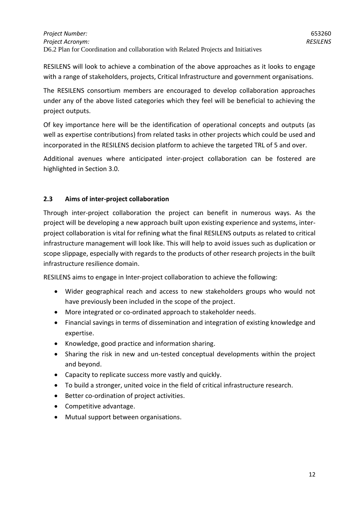RESILENS will look to achieve a combination of the above approaches as it looks to engage with a range of stakeholders, projects, Critical Infrastructure and government organisations.

The RESILENS consortium members are encouraged to develop collaboration approaches under any of the above listed categories which they feel will be beneficial to achieving the project outputs.

Of key importance here will be the identification of operational concepts and outputs (as well as expertise contributions) from related tasks in other projects which could be used and incorporated in the RESILENS decision platform to achieve the targeted TRL of 5 and over.

Additional avenues where anticipated inter-project collaboration can be fostered are highlighted in Section 3.0.

#### <span id="page-11-0"></span>**2.3 Aims of inter-project collaboration**

Through inter-project collaboration the project can benefit in numerous ways. As the project will be developing a new approach built upon existing experience and systems, interproject collaboration is vital for refining what the final RESILENS outputs as related to critical infrastructure management will look like. This will help to avoid issues such as duplication or scope slippage, especially with regards to the products of other research projects in the built infrastructure resilience domain.

RESILENS aims to engage in Inter-project collaboration to achieve the following:

- Wider geographical reach and access to new stakeholders groups who would not have previously been included in the scope of the project.
- More integrated or co-ordinated approach to stakeholder needs.
- Financial savings in terms of dissemination and integration of existing knowledge and expertise.
- Knowledge, good practice and information sharing.
- Sharing the risk in new and un-tested conceptual developments within the project and beyond.
- Capacity to replicate success more vastly and quickly.
- To build a stronger, united voice in the field of critical infrastructure research.
- Better co-ordination of project activities.
- Competitive advantage.
- Mutual support between organisations.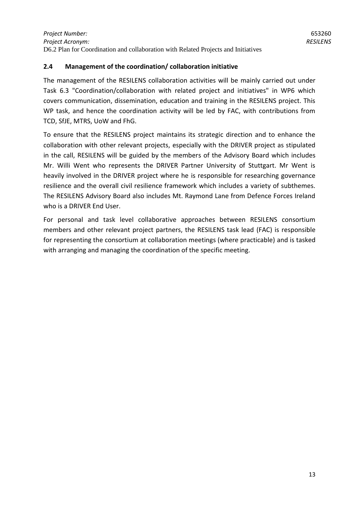#### <span id="page-12-0"></span>**2.4 Management of the coordination/ collaboration initiative**

The management of the RESILENS collaboration activities will be mainly carried out under Task 6.3 "Coordination/collaboration with related project and initiatives" in WP6 which covers communication, dissemination, education and training in the RESILENS project. This WP task, and hence the coordination activity will be led by FAC, with contributions from TCD, SfJE, MTRS, UoW and FhG.

To ensure that the RESILENS project maintains its strategic direction and to enhance the collaboration with other relevant projects, especially with the DRIVER project as stipulated in the call, RESILENS will be guided by the members of the Advisory Board which includes Mr. Willi Went who represents the DRIVER Partner University of Stuttgart. Mr Went is heavily involved in the DRIVER project where he is responsible for researching governance resilience and the overall civil resilience framework which includes a variety of subthemes. The RESILENS Advisory Board also includes Mt. Raymond Lane from Defence Forces Ireland who is a DRIVER End User.

For personal and task level collaborative approaches between RESILENS consortium members and other relevant project partners, the RESILENS task lead (FAC) is responsible for representing the consortium at collaboration meetings (where practicable) and is tasked with arranging and managing the coordination of the specific meeting.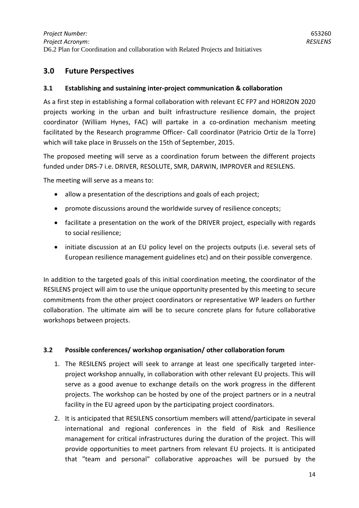### <span id="page-13-0"></span>**3.0 Future Perspectives**

#### <span id="page-13-1"></span>**3.1 Establishing and sustaining inter-project communication & collaboration**

As a first step in establishing a formal collaboration with relevant EC FP7 and HORIZON 2020 projects working in the urban and built infrastructure resilience domain, the project coordinator (William Hynes, FAC) will partake in a co-ordination mechanism meeting facilitated by the Research programme Officer- Call coordinator (Patricio Ortiz de la Torre) which will take place in Brussels on the 15th of September, 2015.

The proposed meeting will serve as a coordination forum between the different projects funded under DRS-7 i.e. DRIVER, RESOLUTE, SMR, DARWIN, IMPROVER and RESILENS.

The meeting will serve as a means to:

- allow a presentation of the descriptions and goals of each project;
- promote discussions around the worldwide survey of resilience concepts;
- facilitate a presentation on the work of the DRIVER project, especially with regards to social resilience;
- initiate discussion at an EU policy level on the projects outputs (i.e. several sets of European resilience management guidelines etc) and on their possible convergence.

In addition to the targeted goals of this initial coordination meeting, the coordinator of the RESILENS project will aim to use the unique opportunity presented by this meeting to secure commitments from the other project coordinators or representative WP leaders on further collaboration. The ultimate aim will be to secure concrete plans for future collaborative workshops between projects.

#### <span id="page-13-2"></span>**3.2 Possible conferences/ workshop organisation/ other collaboration forum**

- 1. The RESILENS project will seek to arrange at least one specifically targeted interproject workshop annually, in collaboration with other relevant EU projects. This will serve as a good avenue to exchange details on the work progress in the different projects. The workshop can be hosted by one of the project partners or in a neutral facility in the EU agreed upon by the participating project coordinators.
- 2. It is anticipated that RESILENS consortium members will attend/participate in several international and regional conferences in the field of Risk and Resilience management for critical infrastructures during the duration of the project. This will provide opportunities to meet partners from relevant EU projects. It is anticipated that "team and personal" collaborative approaches will be pursued by the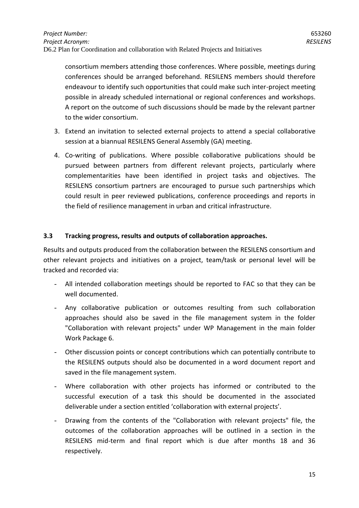consortium members attending those conferences. Where possible, meetings during conferences should be arranged beforehand. RESILENS members should therefore endeavour to identify such opportunities that could make such inter-project meeting possible in already scheduled international or regional conferences and workshops. A report on the outcome of such discussions should be made by the relevant partner to the wider consortium.

- 3. Extend an invitation to selected external projects to attend a special collaborative session at a biannual RESILENS General Assembly (GA) meeting.
- 4. Co-writing of publications. Where possible collaborative publications should be pursued between partners from different relevant projects, particularly where complementarities have been identified in project tasks and objectives. The RESILENS consortium partners are encouraged to pursue such partnerships which could result in peer reviewed publications, conference proceedings and reports in the field of resilience management in urban and critical infrastructure.

#### <span id="page-14-0"></span>**3.3 Tracking progress, results and outputs of collaboration approaches.**

Results and outputs produced from the collaboration between the RESILENS consortium and other relevant projects and initiatives on a project, team/task or personal level will be tracked and recorded via:

- All intended collaboration meetings should be reported to FAC so that they can be well documented.
- Any collaborative publication or outcomes resulting from such collaboration approaches should also be saved in the file management system in the folder "Collaboration with relevant projects" under WP Management in the main folder Work Package 6.
- Other discussion points or concept contributions which can potentially contribute to the RESILENS outputs should also be documented in a word document report and saved in the file management system.
- Where collaboration with other projects has informed or contributed to the successful execution of a task this should be documented in the associated deliverable under a section entitled 'collaboration with external projects'.
- Drawing from the contents of the "Collaboration with relevant projects" file, the outcomes of the collaboration approaches will be outlined in a section in the RESILENS mid-term and final report which is due after months 18 and 36 respectively.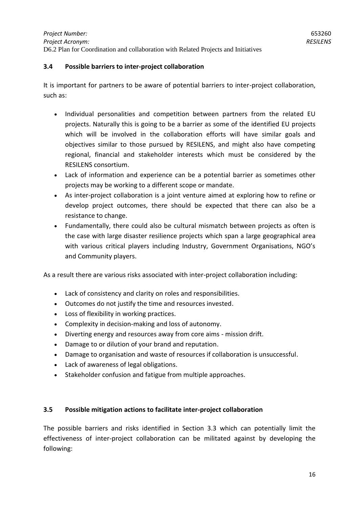#### <span id="page-15-0"></span>**3.4 Possible barriers to inter-project collaboration**

It is important for partners to be aware of potential barriers to inter-project collaboration, such as:

- Individual personalities and competition between partners from the related EU projects. Naturally this is going to be a barrier as some of the identified EU projects which will be involved in the collaboration efforts will have similar goals and objectives similar to those pursued by RESILENS, and might also have competing regional, financial and stakeholder interests which must be considered by the RESILENS consortium.
- Lack of information and experience can be a potential barrier as sometimes other projects may be working to a different scope or mandate.
- As inter-project collaboration is a joint venture aimed at exploring how to refine or develop project outcomes, there should be expected that there can also be a resistance to change.
- Fundamentally, there could also be cultural mismatch between projects as often is the case with large disaster resilience projects which span a large geographical area with various critical players including Industry, Government Organisations, NGO's and Community players.

As a result there are various risks associated with inter-project collaboration including:

- Lack of consistency and clarity on roles and responsibilities.
- Outcomes do not justify the time and resources invested.
- Loss of flexibility in working practices.
- Complexity in decision-making and loss of autonomy.
- Diverting energy and resources away from core aims mission drift.
- Damage to or dilution of your brand and reputation.
- Damage to organisation and waste of resources if collaboration is unsuccessful.
- Lack of awareness of legal obligations.
- Stakeholder confusion and fatigue from multiple approaches.

#### <span id="page-15-1"></span>**3.5 Possible mitigation actions to facilitate inter-project collaboration**

The possible barriers and risks identified in Section 3.3 which can potentially limit the effectiveness of inter-project collaboration can be militated against by developing the following: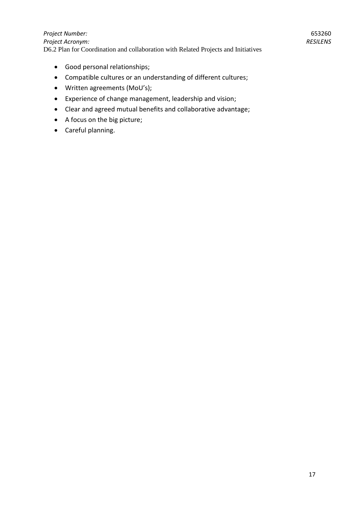#### *Project Number: Project Acronym:*  D6.2 Plan for Coordination and collaboration with Related Projects and Initiatives

- Good personal relationships;
- Compatible cultures or an understanding of different cultures;
- Written agreements (MoU's);
- Experience of change management, leadership and vision;
- Clear and agreed mutual benefits and collaborative advantage;
- A focus on the big picture;
- Careful planning.